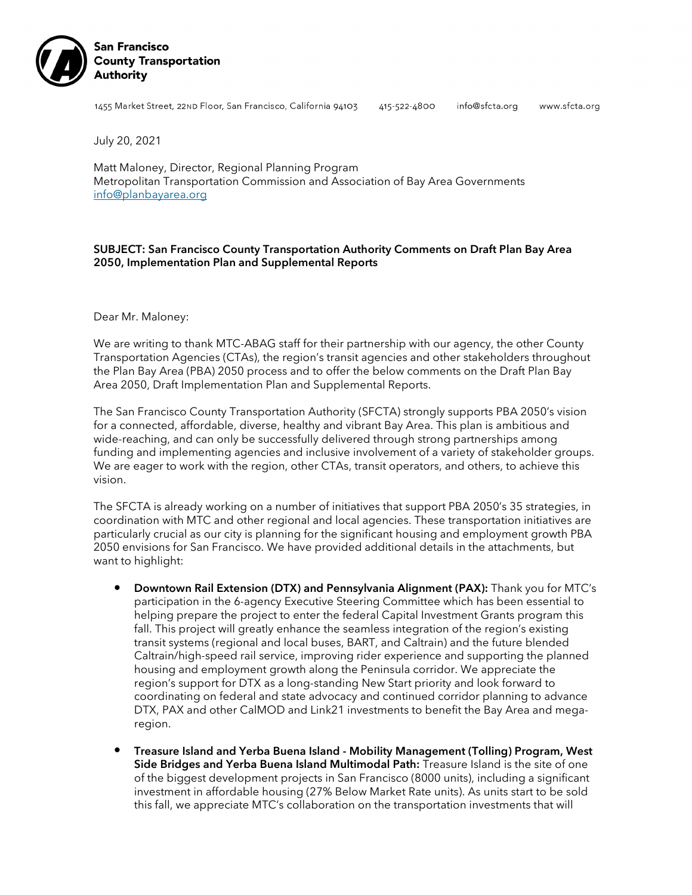

1455 Market Street, 22ND Floor, San Francisco, California 94103

415-522-4800

```
info@sfcta.org
```
www.sfcta.org

July 20, 2021

Matt Maloney, Director, Regional Planning Program Metropolitan Transportation Commission and Association of Bay Area Governments [info@planbayarea.org](mailto:info@planbayarea.org)

# SUBJECT: San Francisco County Transportation Authority Comments on Draft Plan Bay Area 2050, Implementation Plan and Supplemental Reports

Dear Mr. Maloney:

We are writing to thank MTC-ABAG staff for their partnership with our agency, the other County Transportation Agencies (CTAs), the region's transit agencies and other stakeholders throughout the Plan Bay Area (PBA) 2050 process and to offer the below comments on the Draft Plan Bay Area 2050, Draft Implementation Plan and Supplemental Reports.

The San Francisco County Transportation Authority (SFCTA) strongly supports PBA 2050's vision for a connected, affordable, diverse, healthy and vibrant Bay Area. This plan is ambitious and wide-reaching, and can only be successfully delivered through strong partnerships among funding and implementing agencies and inclusive involvement of a variety of stakeholder groups. We are eager to work with the region, other CTAs, transit operators, and others, to achieve this vision.

The SFCTA is already working on a number of initiatives that support PBA 2050's 35 strategies, in coordination with MTC and other regional and local agencies. These transportation initiatives are particularly crucial as our city is planning for the significant housing and employment growth PBA 2050 envisions for San Francisco. We have provided additional details in the attachments, but want to highlight:

- Downtown Rail Extension (DTX) and Pennsylvania Alignment (PAX): Thank you for MTC's participation in the 6-agency Executive Steering Committee which has been essential to helping prepare the project to enter the federal Capital Investment Grants program this fall. This project will greatly enhance the seamless integration of the region's existing transit systems (regional and local buses, BART, and Caltrain) and the future blended Caltrain/high-speed rail service, improving rider experience and supporting the planned housing and employment growth along the Peninsula corridor. We appreciate the region's support for DTX as a long-standing New Start priority and look forward to coordinating on federal and state advocacy and continued corridor planning to advance DTX, PAX and other CalMOD and Link21 investments to benefit the Bay Area and megaregion.
- Treasure Island and Yerba Buena Island Mobility Management (Tolling) Program, West Side Bridges and Yerba Buena Island Multimodal Path: Treasure Island is the site of one of the biggest development projects in San Francisco (8000 units), including a significant investment in affordable housing (27% Below Market Rate units). As units start to be sold this fall, we appreciate MTC's collaboration on the transportation investments that will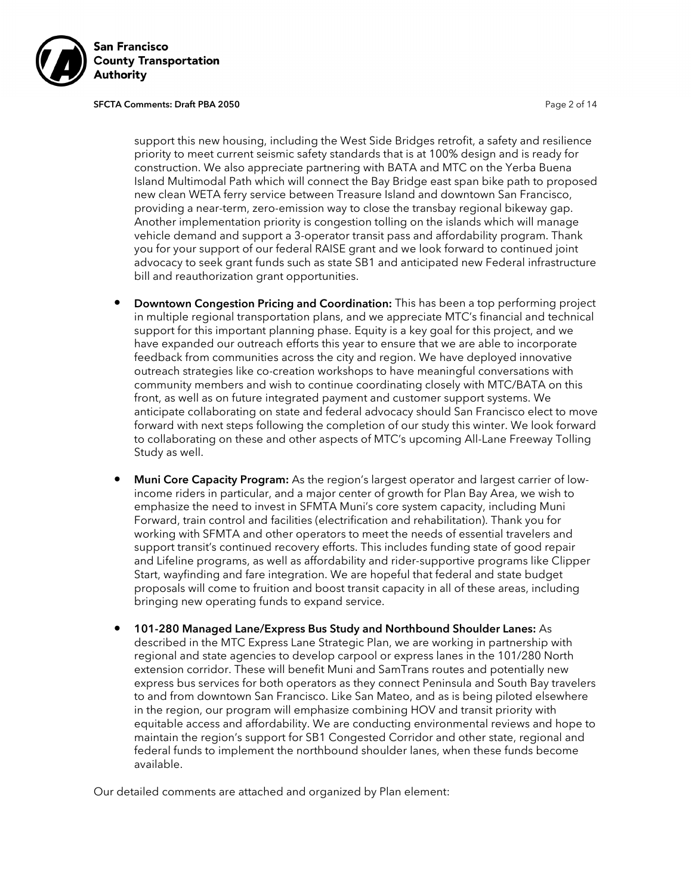

#### SFCTA Comments: Draft PBA 2050 **Page 2 of 14** Page 2 of 14

support this new housing, including the West Side Bridges retrofit, a safety and resilience priority to meet current seismic safety standards that is at 100% design and is ready for construction. We also appreciate partnering with BATA and MTC on the Yerba Buena Island Multimodal Path which will connect the Bay Bridge east span bike path to proposed new clean WETA ferry service between Treasure Island and downtown San Francisco, providing a near-term, zero-emission way to close the transbay regional bikeway gap. Another implementation priority is congestion tolling on the islands which will manage vehicle demand and support a 3-operator transit pass and affordability program. Thank you for your support of our federal RAISE grant and we look forward to continued joint advocacy to seek grant funds such as state SB1 and anticipated new Federal infrastructure bill and reauthorization grant opportunities.

- **Downtown Congestion Pricing and Coordination:** This has been a top performing project in multiple regional transportation plans, and we appreciate MTC's financial and technical support for this important planning phase. Equity is a key goal for this project, and we have expanded our outreach efforts this year to ensure that we are able to incorporate feedback from communities across the city and region. We have deployed innovative outreach strategies like co-creation workshops to have meaningful conversations with community members and wish to continue coordinating closely with MTC/BATA on this front, as well as on future integrated payment and customer support systems. We anticipate collaborating on state and federal advocacy should San Francisco elect to move forward with next steps following the completion of our study this winter. We look forward to collaborating on these and other aspects of MTC's upcoming All-Lane Freeway Tolling Study as well.
- **Muni Core Capacity Program:** As the region's largest operator and largest carrier of lowincome riders in particular, and a major center of growth for Plan Bay Area, we wish to emphasize the need to invest in SFMTA Muni's core system capacity, including Muni Forward, train control and facilities (electrification and rehabilitation). Thank you for working with SFMTA and other operators to meet the needs of essential travelers and support transit's continued recovery efforts. This includes funding state of good repair and Lifeline programs, as well as affordability and rider-supportive programs like Clipper Start, wayfinding and fare integration. We are hopeful that federal and state budget proposals will come to fruition and boost transit capacity in all of these areas, including bringing new operating funds to expand service.
- 101-280 Managed Lane/Express Bus Study and Northbound Shoulder Lanes: As described in the MTC Express Lane Strategic Plan, we are working in partnership with regional and state agencies to develop carpool or express lanes in the 101/280 North extension corridor. These will benefit Muni and SamTrans routes and potentially new express bus services for both operators as they connect Peninsula and South Bay travelers to and from downtown San Francisco. Like San Mateo, and as is being piloted elsewhere in the region, our program will emphasize combining HOV and transit priority with equitable access and affordability. We are conducting environmental reviews and hope to maintain the region's support for SB1 Congested Corridor and other state, regional and federal funds to implement the northbound shoulder lanes, when these funds become available.

Our detailed comments are attached and organized by Plan element: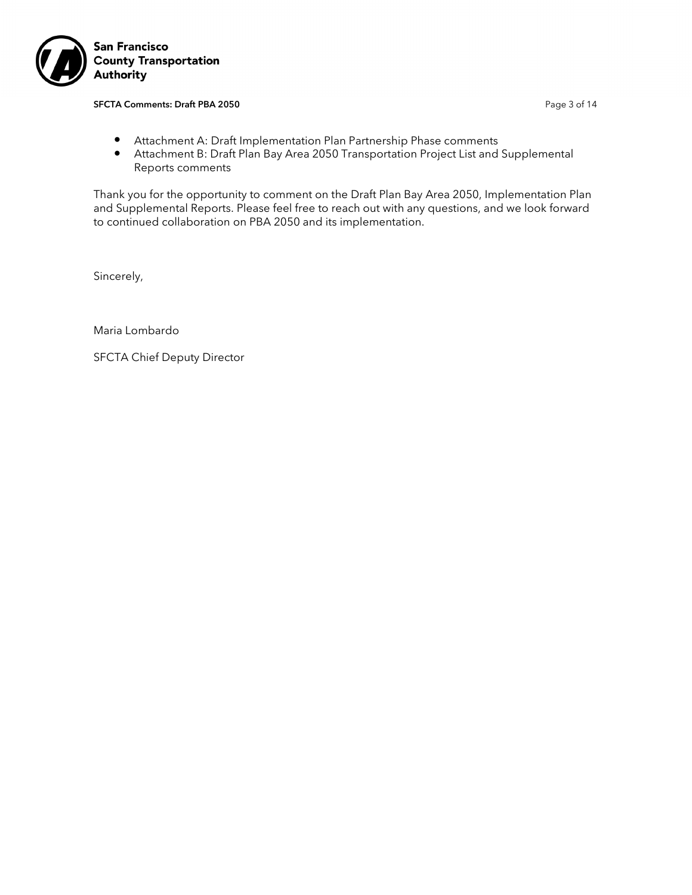

#### SFCTA Comments: Draft PBA 2050 **Page 3 of 14** Page 3 of 14

- Attachment A: Draft Implementation Plan Partnership Phase comments
- Attachment B: Draft Plan Bay Area 2050 Transportation Project List and Supplemental Reports comments

Thank you for the opportunity to comment on the Draft Plan Bay Area 2050, Implementation Plan and Supplemental Reports. Please feel free to reach out with any questions, and we look forward to continued collaboration on PBA 2050 and its implementation.

Sincerely,

Maria Lombardo

SFCTA Chief Deputy Director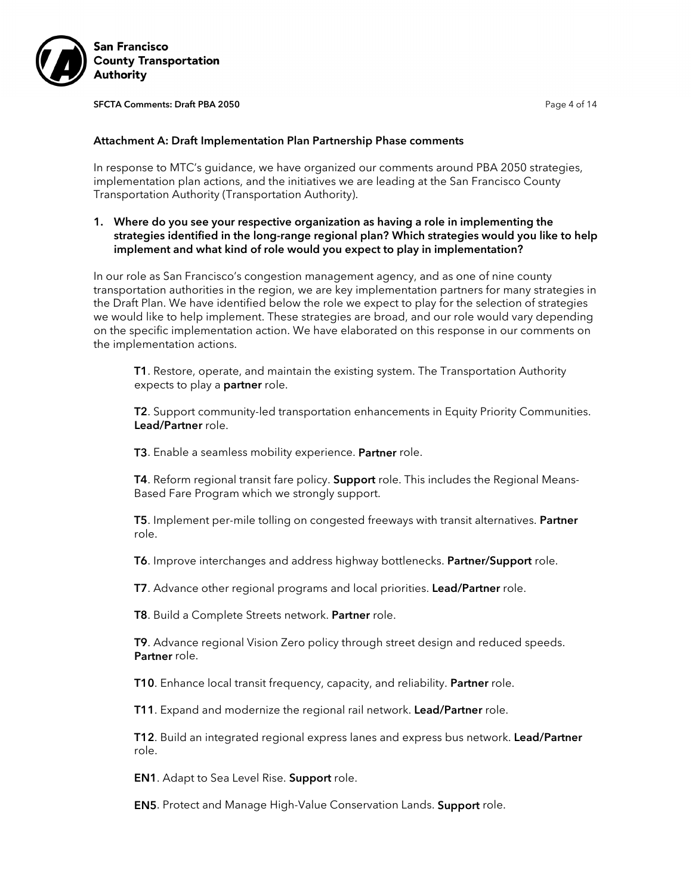

SFCTA Comments: Draft PBA 2050 **Page 4 of 14** Page 4 of 14

#### Attachment A: Draft Implementation Plan Partnership Phase comments

In response to MTC's guidance, we have organized our comments around PBA 2050 strategies, implementation plan actions, and the initiatives we are leading at the San Francisco County Transportation Authority (Transportation Authority).

1. Where do you see your respective organization as having a role in implementing the strategies identified in the long-range regional plan? Which strategies would you like to help implement and what kind of role would you expect to play in implementation?

In our role as San Francisco's congestion management agency, and as one of nine county transportation authorities in the region, we are key implementation partners for many strategies in the Draft Plan. We have identified below the role we expect to play for the selection of strategies we would like to help implement. These strategies are broad, and our role would vary depending on the specific implementation action. We have elaborated on this response in our comments on the implementation actions.

T1. Restore, operate, and maintain the existing system. The Transportation Authority expects to play a **partner** role.

T2. Support community-led transportation enhancements in Equity Priority Communities. Lead/Partner role.

T3. Enable a seamless mobility experience. Partner role.

T4. Reform regional transit fare policy. Support role. This includes the Regional Means-Based Fare Program which we strongly support.

T5. Implement per-mile tolling on congested freeways with transit alternatives. Partner role.

T6. Improve interchanges and address highway bottlenecks. Partner/Support role.

T7. Advance other regional programs and local priorities. Lead/Partner role.

T8. Build a Complete Streets network. Partner role.

T9. Advance regional Vision Zero policy through street design and reduced speeds. Partner role.

T10. Enhance local transit frequency, capacity, and reliability. Partner role.

T11. Expand and modernize the regional rail network. Lead/Partner role.

**T12.** Build an integrated regional express lanes and express bus network. Lead/Partner role.

**EN1.** Adapt to Sea Level Rise. **Support** role.

**EN5**. Protect and Manage High-Value Conservation Lands. **Support** role.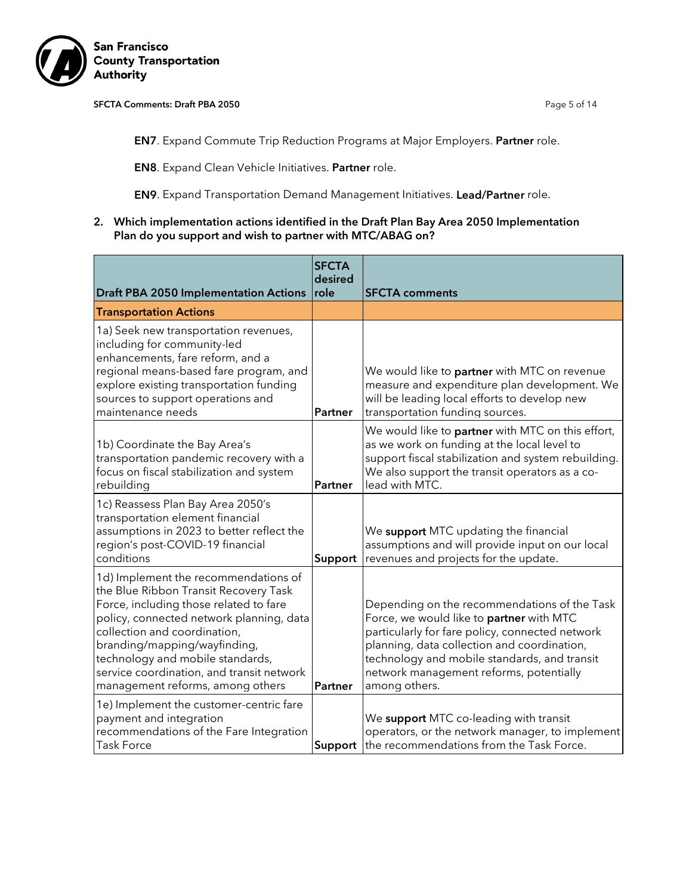

#### SFCTA Comments: Draft PBA 2050 **Page 5 of 14** Page 5 of 14

EN7. Expand Commute Trip Reduction Programs at Major Employers. Partner role.

EN8. Expand Clean Vehicle Initiatives. Partner role.

EN9. Expand Transportation Demand Management Initiatives. Lead/Partner role.

2. Which implementation actions identified in the Draft Plan Bay Area 2050 Implementation Plan do you support and wish to partner with MTC/ABAG on?

| <b>Draft PBA 2050 Implementation Actions</b>                                                                                                                                                                                                                                                                                                             | <b>SFCTA</b><br>desired<br><b>Irole</b> | <b>SFCTA comments</b>                                                                                                                                                                                                                                                                                  |
|----------------------------------------------------------------------------------------------------------------------------------------------------------------------------------------------------------------------------------------------------------------------------------------------------------------------------------------------------------|-----------------------------------------|--------------------------------------------------------------------------------------------------------------------------------------------------------------------------------------------------------------------------------------------------------------------------------------------------------|
| <b>Transportation Actions</b>                                                                                                                                                                                                                                                                                                                            |                                         |                                                                                                                                                                                                                                                                                                        |
| 1a) Seek new transportation revenues,<br>including for community-led<br>enhancements, fare reform, and a<br>regional means-based fare program, and<br>explore existing transportation funding<br>sources to support operations and<br>maintenance needs                                                                                                  | <b>Partner</b>                          | We would like to partner with MTC on revenue<br>measure and expenditure plan development. We<br>will be leading local efforts to develop new<br>transportation funding sources.                                                                                                                        |
| 1b) Coordinate the Bay Area's<br>transportation pandemic recovery with a<br>focus on fiscal stabilization and system<br>rebuilding                                                                                                                                                                                                                       | Partner                                 | We would like to partner with MTC on this effort,<br>as we work on funding at the local level to<br>support fiscal stabilization and system rebuilding.<br>We also support the transit operators as a co-<br>lead with MTC.                                                                            |
| 1c) Reassess Plan Bay Area 2050's<br>transportation element financial<br>assumptions in 2023 to better reflect the<br>region's post-COVID-19 financial<br>conditions                                                                                                                                                                                     | Support                                 | We support MTC updating the financial<br>assumptions and will provide input on our local<br>revenues and projects for the update.                                                                                                                                                                      |
| 1d) Implement the recommendations of<br>the Blue Ribbon Transit Recovery Task<br>Force, including those related to fare<br>policy, connected network planning, data<br>collection and coordination,<br>branding/mapping/wayfinding,<br>technology and mobile standards,<br>service coordination, and transit network<br>management reforms, among others | Partner                                 | Depending on the recommendations of the Task<br>Force, we would like to partner with MTC<br>particularly for fare policy, connected network<br>planning, data collection and coordination,<br>technology and mobile standards, and transit<br>network management reforms, potentially<br>among others. |
| 1e) Implement the customer-centric fare<br>payment and integration<br>recommendations of the Fare Integration<br><b>Task Force</b>                                                                                                                                                                                                                       | Support                                 | We support MTC co-leading with transit<br>operators, or the network manager, to implement<br>the recommendations from the Task Force.                                                                                                                                                                  |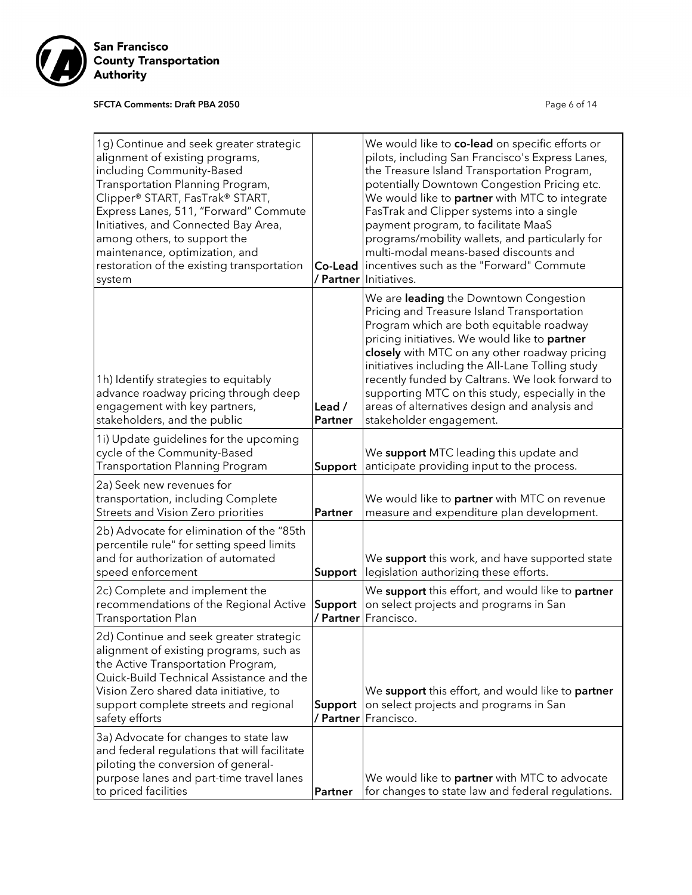

# SFCTA Comments: Draft PBA 2050 **Page 6 of 14** Page 6 of 14

| 1g) Continue and seek greater strategic<br>alignment of existing programs,<br>including Community-Based<br>Transportation Planning Program,<br>Clipper® START, FasTrak® START,<br>Express Lanes, 511, "Forward" Commute<br>Initiatives, and Connected Bay Area,<br>among others, to support the<br>maintenance, optimization, and<br>restoration of the existing transportation<br>system | Co-Lead                  | We would like to co-lead on specific efforts or<br>pilots, including San Francisco's Express Lanes,<br>the Treasure Island Transportation Program,<br>potentially Downtown Congestion Pricing etc.<br>We would like to partner with MTC to integrate<br>FasTrak and Clipper systems into a single<br>payment program, to facilitate MaaS<br>programs/mobility wallets, and particularly for<br>multi-modal means-based discounts and<br>incentives such as the "Forward" Commute<br>/ Partner Initiatives. |
|-------------------------------------------------------------------------------------------------------------------------------------------------------------------------------------------------------------------------------------------------------------------------------------------------------------------------------------------------------------------------------------------|--------------------------|------------------------------------------------------------------------------------------------------------------------------------------------------------------------------------------------------------------------------------------------------------------------------------------------------------------------------------------------------------------------------------------------------------------------------------------------------------------------------------------------------------|
| 1h) Identify strategies to equitably<br>advance roadway pricing through deep<br>engagement with key partners,<br>stakeholders, and the public                                                                                                                                                                                                                                             | Lead /<br><b>Partner</b> | We are leading the Downtown Congestion<br>Pricing and Treasure Island Transportation<br>Program which are both equitable roadway<br>pricing initiatives. We would like to partner<br>closely with MTC on any other roadway pricing<br>initiatives including the All-Lane Tolling study<br>recently funded by Caltrans. We look forward to<br>supporting MTC on this study, especially in the<br>areas of alternatives design and analysis and<br>stakeholder engagement.                                   |
| 1i) Update guidelines for the upcoming<br>cycle of the Community-Based<br><b>Transportation Planning Program</b>                                                                                                                                                                                                                                                                          | Support                  | We support MTC leading this update and<br>anticipate providing input to the process.                                                                                                                                                                                                                                                                                                                                                                                                                       |
| 2a) Seek new revenues for<br>transportation, including Complete<br>Streets and Vision Zero priorities                                                                                                                                                                                                                                                                                     | Partner                  | We would like to partner with MTC on revenue<br>measure and expenditure plan development.                                                                                                                                                                                                                                                                                                                                                                                                                  |
| 2b) Advocate for elimination of the "85th<br>percentile rule" for setting speed limits<br>and for authorization of automated<br>speed enforcement                                                                                                                                                                                                                                         | Support                  | We support this work, and have supported state<br>legislation authorizing these efforts.                                                                                                                                                                                                                                                                                                                                                                                                                   |
| 2c) Complete and implement the<br>recommendations of the Regional Active<br><b>Transportation Plan</b>                                                                                                                                                                                                                                                                                    | Support<br>/ Partner     | We support this effort, and would like to partner<br>on select projects and programs in San<br>Francisco.                                                                                                                                                                                                                                                                                                                                                                                                  |
| 2d) Continue and seek greater strategic<br>alignment of existing programs, such as<br>the Active Transportation Program,<br>Quick-Build Technical Assistance and the<br>Vision Zero shared data initiative, to<br>support complete streets and regional<br>safety efforts                                                                                                                 | Support<br>/ Partner     | We support this effort, and would like to partner<br>on select projects and programs in San<br>Francisco.                                                                                                                                                                                                                                                                                                                                                                                                  |
| 3a) Advocate for changes to state law<br>and federal regulations that will facilitate<br>piloting the conversion of general-<br>purpose lanes and part-time travel lanes<br>to priced facilities                                                                                                                                                                                          | Partner                  | We would like to partner with MTC to advocate<br>for changes to state law and federal regulations.                                                                                                                                                                                                                                                                                                                                                                                                         |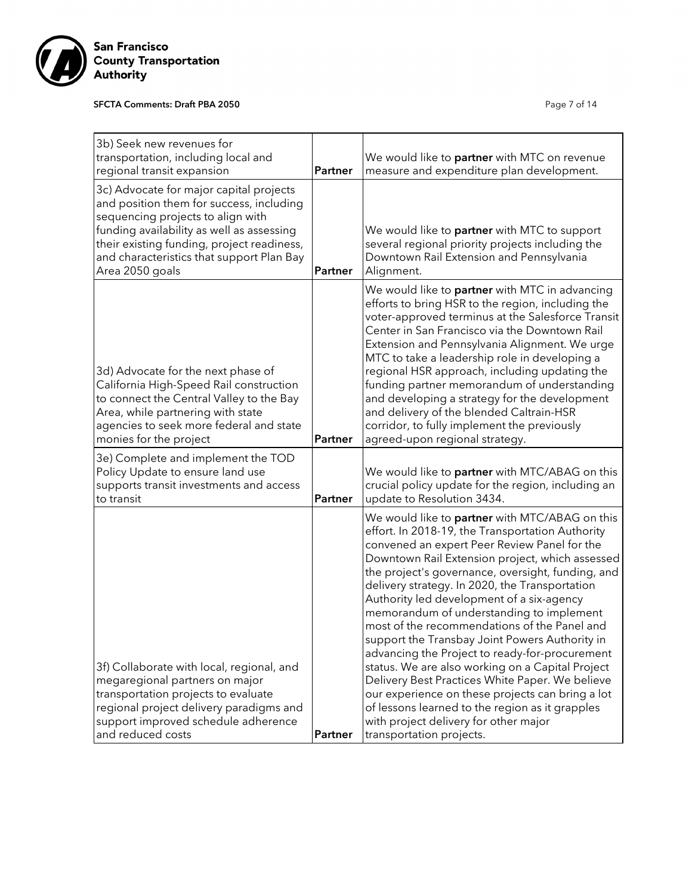

# SFCTA Comments: Draft PBA 2050 **Page 7 of 14** Page 7 of 14

| 3b) Seek new revenues for<br>transportation, including local and<br>regional transit expansion                                                                                                                                                                                      | Partner        | We would like to <b>partner</b> with MTC on revenue<br>measure and expenditure plan development.                                                                                                                                                                                                                                                                                                                                                                                                                                                                                                                                                                                                                                                                                                                                             |
|-------------------------------------------------------------------------------------------------------------------------------------------------------------------------------------------------------------------------------------------------------------------------------------|----------------|----------------------------------------------------------------------------------------------------------------------------------------------------------------------------------------------------------------------------------------------------------------------------------------------------------------------------------------------------------------------------------------------------------------------------------------------------------------------------------------------------------------------------------------------------------------------------------------------------------------------------------------------------------------------------------------------------------------------------------------------------------------------------------------------------------------------------------------------|
| 3c) Advocate for major capital projects<br>and position them for success, including<br>sequencing projects to align with<br>funding availability as well as assessing<br>their existing funding, project readiness,<br>and characteristics that support Plan Bay<br>Area 2050 goals | <b>Partner</b> | We would like to <b>partner</b> with MTC to support<br>several regional priority projects including the<br>Downtown Rail Extension and Pennsylvania<br>Alignment.                                                                                                                                                                                                                                                                                                                                                                                                                                                                                                                                                                                                                                                                            |
| 3d) Advocate for the next phase of<br>California High-Speed Rail construction<br>to connect the Central Valley to the Bay<br>Area, while partnering with state<br>agencies to seek more federal and state<br>monies for the project                                                 | Partner        | We would like to <b>partner</b> with MTC in advancing<br>efforts to bring HSR to the region, including the<br>voter-approved terminus at the Salesforce Transit<br>Center in San Francisco via the Downtown Rail<br>Extension and Pennsylvania Alignment. We urge<br>MTC to take a leadership role in developing a<br>regional HSR approach, including updating the<br>funding partner memorandum of understanding<br>and developing a strategy for the development<br>and delivery of the blended Caltrain-HSR<br>corridor, to fully implement the previously<br>agreed-upon regional strategy.                                                                                                                                                                                                                                             |
| 3e) Complete and implement the TOD<br>Policy Update to ensure land use<br>supports transit investments and access<br>to transit                                                                                                                                                     | Partner        | We would like to partner with MTC/ABAG on this<br>crucial policy update for the region, including an<br>update to Resolution 3434.                                                                                                                                                                                                                                                                                                                                                                                                                                                                                                                                                                                                                                                                                                           |
| 3f) Collaborate with local, regional, and<br>megaregional partners on major<br>transportation projects to evaluate<br>regional project delivery paradigms and<br>support improved schedule adherence<br>and reduced costs                                                           | Partner        | We would like to partner with MTC/ABAG on this<br>effort. In 2018-19, the Transportation Authority<br>convened an expert Peer Review Panel for the<br>Downtown Rail Extension project, which assessed<br>the project's governance, oversight, funding, and<br>delivery strategy. In 2020, the Transportation<br>Authority led development of a six-agency<br>memorandum of understanding to implement<br>most of the recommendations of the Panel and<br>support the Transbay Joint Powers Authority in<br>advancing the Project to ready-for-procurement<br>status. We are also working on a Capital Project<br>Delivery Best Practices White Paper. We believe<br>our experience on these projects can bring a lot<br>of lessons learned to the region as it grapples<br>with project delivery for other major<br>transportation projects. |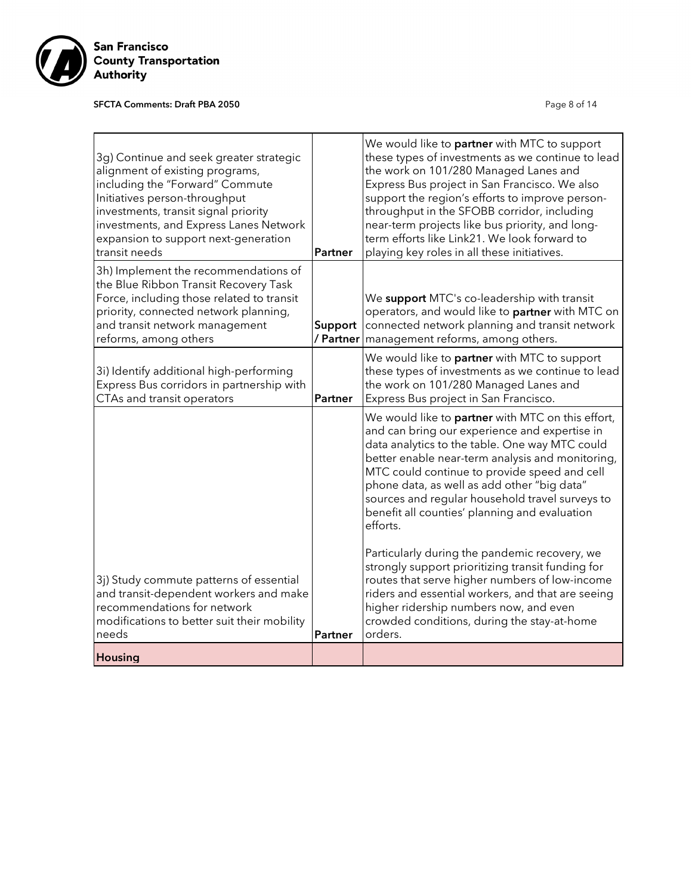

# SFCTA Comments: Draft PBA 2050 **Page 8 of 14** Page 8 of 14

| 3g) Continue and seek greater strategic<br>alignment of existing programs,<br>including the "Forward" Commute<br>Initiatives person-throughput<br>investments, transit signal priority<br>investments, and Express Lanes Network<br>expansion to support next-generation<br>transit needs | Partner              | We would like to <b>partner</b> with MTC to support<br>these types of investments as we continue to lead<br>the work on 101/280 Managed Lanes and<br>Express Bus project in San Francisco. We also<br>support the region's efforts to improve person-<br>throughput in the SFOBB corridor, including<br>near-term projects like bus priority, and long-<br>term efforts like Link21. We look forward to<br>playing key roles in all these initiatives. |
|-------------------------------------------------------------------------------------------------------------------------------------------------------------------------------------------------------------------------------------------------------------------------------------------|----------------------|--------------------------------------------------------------------------------------------------------------------------------------------------------------------------------------------------------------------------------------------------------------------------------------------------------------------------------------------------------------------------------------------------------------------------------------------------------|
| 3h) Implement the recommendations of<br>the Blue Ribbon Transit Recovery Task<br>Force, including those related to transit<br>priority, connected network planning,<br>and transit network management<br>reforms, among others                                                            | Support<br>/ Partner | We support MTC's co-leadership with transit<br>operators, and would like to partner with MTC on<br>connected network planning and transit network<br>management reforms, among others.                                                                                                                                                                                                                                                                 |
| 3i) Identify additional high-performing<br>Express Bus corridors in partnership with<br>CTAs and transit operators                                                                                                                                                                        | Partner              | We would like to partner with MTC to support<br>these types of investments as we continue to lead<br>the work on 101/280 Managed Lanes and<br>Express Bus project in San Francisco.                                                                                                                                                                                                                                                                    |
|                                                                                                                                                                                                                                                                                           |                      | We would like to <b>partner</b> with MTC on this effort,<br>and can bring our experience and expertise in<br>data analytics to the table. One way MTC could<br>better enable near-term analysis and monitoring,<br>MTC could continue to provide speed and cell<br>phone data, as well as add other "big data"<br>sources and regular household travel surveys to<br>benefit all counties' planning and evaluation<br>efforts.                         |
| 3j) Study commute patterns of essential<br>and transit-dependent workers and make<br>recommendations for network<br>modifications to better suit their mobility<br>needs                                                                                                                  | Partner              | Particularly during the pandemic recovery, we<br>strongly support prioritizing transit funding for<br>routes that serve higher numbers of low-income<br>riders and essential workers, and that are seeing<br>higher ridership numbers now, and even<br>crowded conditions, during the stay-at-home<br>orders.                                                                                                                                          |
| Housing                                                                                                                                                                                                                                                                                   |                      |                                                                                                                                                                                                                                                                                                                                                                                                                                                        |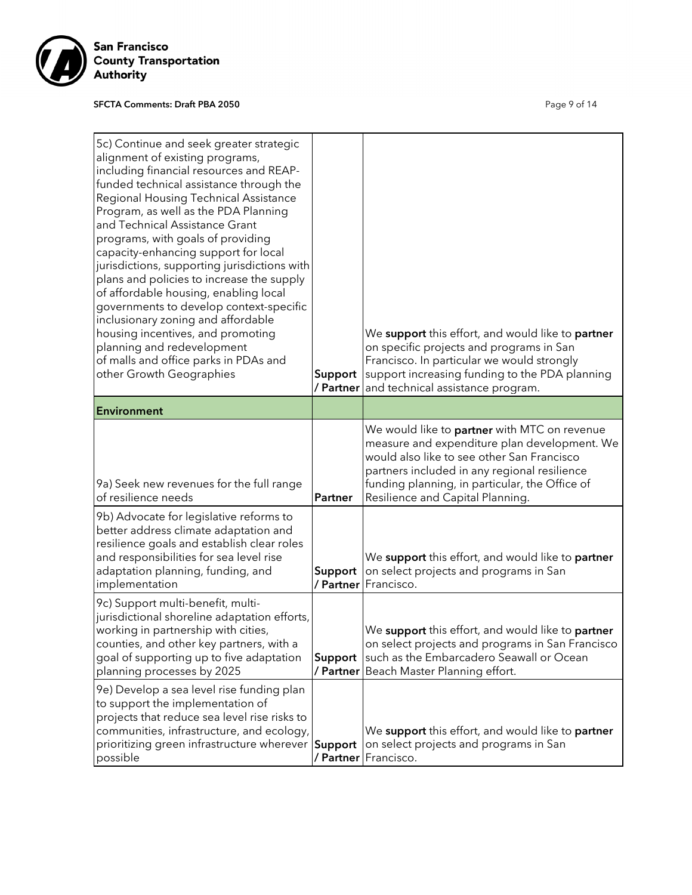

# SFCTA Comments: Draft PBA 2050 **Page 9 of 14** Page 9 of 14

| 5c) Continue and seek greater strategic<br>alignment of existing programs,<br>including financial resources and REAP-<br>funded technical assistance through the<br>Regional Housing Technical Assistance<br>Program, as well as the PDA Planning<br>and Technical Assistance Grant<br>programs, with goals of providing<br>capacity-enhancing support for local<br>jurisdictions, supporting jurisdictions with<br>plans and policies to increase the supply<br>of affordable housing, enabling local<br>governments to develop context-specific<br>inclusionary zoning and affordable<br>housing incentives, and promoting<br>planning and redevelopment<br>of malls and office parks in PDAs and<br>other Growth Geographies | Support        | We <b>support</b> this effort, and would like to <b>partner</b><br>on specific projects and programs in San<br>Francisco. In particular we would strongly<br>support increasing funding to the PDA planning<br>/ Partner and technical assistance program.                       |
|---------------------------------------------------------------------------------------------------------------------------------------------------------------------------------------------------------------------------------------------------------------------------------------------------------------------------------------------------------------------------------------------------------------------------------------------------------------------------------------------------------------------------------------------------------------------------------------------------------------------------------------------------------------------------------------------------------------------------------|----------------|----------------------------------------------------------------------------------------------------------------------------------------------------------------------------------------------------------------------------------------------------------------------------------|
| <b>Environment</b>                                                                                                                                                                                                                                                                                                                                                                                                                                                                                                                                                                                                                                                                                                              |                |                                                                                                                                                                                                                                                                                  |
| 9a) Seek new revenues for the full range<br>of resilience needs<br>9b) Advocate for legislative reforms to<br>better address climate adaptation and                                                                                                                                                                                                                                                                                                                                                                                                                                                                                                                                                                             | <b>Partner</b> | We would like to partner with MTC on revenue<br>measure and expenditure plan development. We<br>would also like to see other San Francisco<br>partners included in any regional resilience<br>funding planning, in particular, the Office of<br>Resilience and Capital Planning. |
| resilience goals and establish clear roles<br>and responsibilities for sea level rise<br>adaptation planning, funding, and<br>implementation                                                                                                                                                                                                                                                                                                                                                                                                                                                                                                                                                                                    | Support        | We support this effort, and would like to partner<br>on select projects and programs in San<br>/ Partner Francisco.                                                                                                                                                              |
| 9c) Support multi-benefit, multi-<br>jurisdictional shoreline adaptation efforts,<br>working in partnership with cities,<br>counties, and other key partners, with a<br>goal of supporting up to five adaptation<br>planning processes by 2025                                                                                                                                                                                                                                                                                                                                                                                                                                                                                  | Support        | We support this effort, and would like to partner<br>on select projects and programs in San Francisco<br>such as the Embarcadero Seawall or Ocean<br><b>/ Partner</b> Beach Master Planning effort.                                                                              |
| 9e) Develop a sea level rise funding plan<br>to support the implementation of<br>projects that reduce sea level rise risks to<br>communities, infrastructure, and ecology,<br>prioritizing green infrastructure wherever Support<br>possible                                                                                                                                                                                                                                                                                                                                                                                                                                                                                    |                | We support this effort, and would like to partner<br>on select projects and programs in San<br>/ Partner Francisco.                                                                                                                                                              |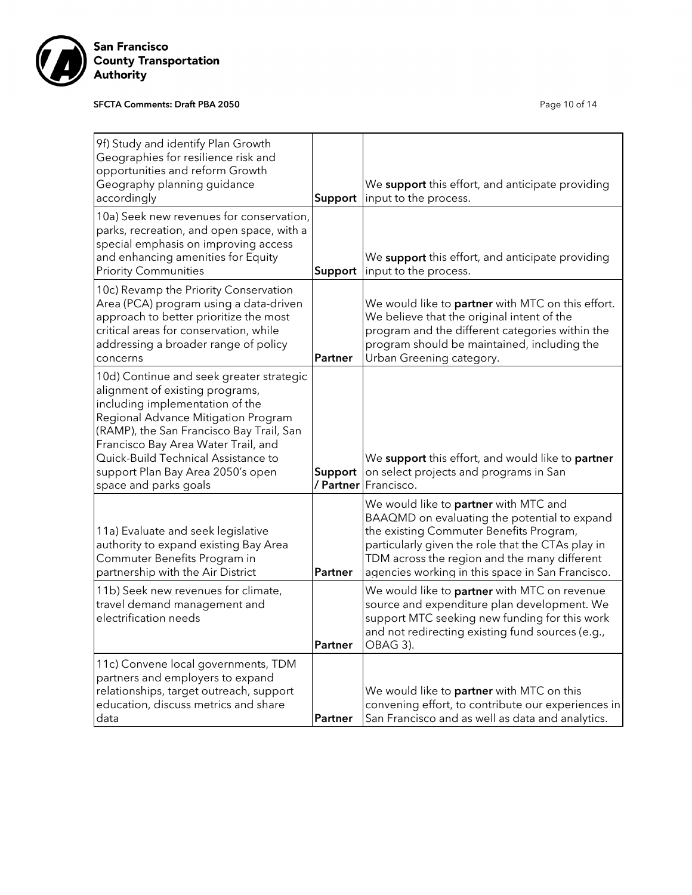

# SFCTA Comments: Draft PBA 2050 **Page 10 of 14** Page 10 of 14

| 9f) Study and identify Plan Growth<br>Geographies for resilience risk and<br>opportunities and reform Growth<br>Geography planning guidance<br>accordingly                                                                                                                                                                                    | Support              | We support this effort, and anticipate providing<br>input to the process.                                                                                                                                                                                                                 |
|-----------------------------------------------------------------------------------------------------------------------------------------------------------------------------------------------------------------------------------------------------------------------------------------------------------------------------------------------|----------------------|-------------------------------------------------------------------------------------------------------------------------------------------------------------------------------------------------------------------------------------------------------------------------------------------|
| 10a) Seek new revenues for conservation,<br>parks, recreation, and open space, with a<br>special emphasis on improving access<br>and enhancing amenities for Equity<br><b>Priority Communities</b>                                                                                                                                            | Support              | We support this effort, and anticipate providing<br>input to the process.                                                                                                                                                                                                                 |
| 10c) Revamp the Priority Conservation<br>Area (PCA) program using a data-driven<br>approach to better prioritize the most<br>critical areas for conservation, while<br>addressing a broader range of policy<br>concerns                                                                                                                       | Partner              | We would like to <b>partner</b> with MTC on this effort.<br>We believe that the original intent of the<br>program and the different categories within the<br>program should be maintained, including the<br>Urban Greening category.                                                      |
| 10d) Continue and seek greater strategic<br>alignment of existing programs,<br>including implementation of the<br>Regional Advance Mitigation Program<br>(RAMP), the San Francisco Bay Trail, San<br>Francisco Bay Area Water Trail, and<br>Quick-Build Technical Assistance to<br>support Plan Bay Area 2050's open<br>space and parks goals | Support<br>/ Partner | We support this effort, and would like to partner<br>on select projects and programs in San<br>Francisco.                                                                                                                                                                                 |
| 11a) Evaluate and seek legislative<br>authority to expand existing Bay Area<br>Commuter Benefits Program in<br>partnership with the Air District                                                                                                                                                                                              | Partner              | We would like to partner with MTC and<br>BAAQMD on evaluating the potential to expand<br>the existing Commuter Benefits Program,<br>particularly given the role that the CTAs play in<br>TDM across the region and the many different<br>agencies working in this space in San Francisco. |
| 11b) Seek new revenues for climate,<br>travel demand management and<br>electrification needs                                                                                                                                                                                                                                                  | Partner              | We would like to partner with MTC on revenue<br>source and expenditure plan development. We<br>support MTC seeking new funding for this work<br>and not redirecting existing fund sources (e.g.,<br>OBAG 3).                                                                              |
| 11c) Convene local governments, TDM<br>partners and employers to expand<br>relationships, target outreach, support<br>education, discuss metrics and share<br>data                                                                                                                                                                            | Partner              | We would like to partner with MTC on this<br>convening effort, to contribute our experiences in<br>San Francisco and as well as data and analytics.                                                                                                                                       |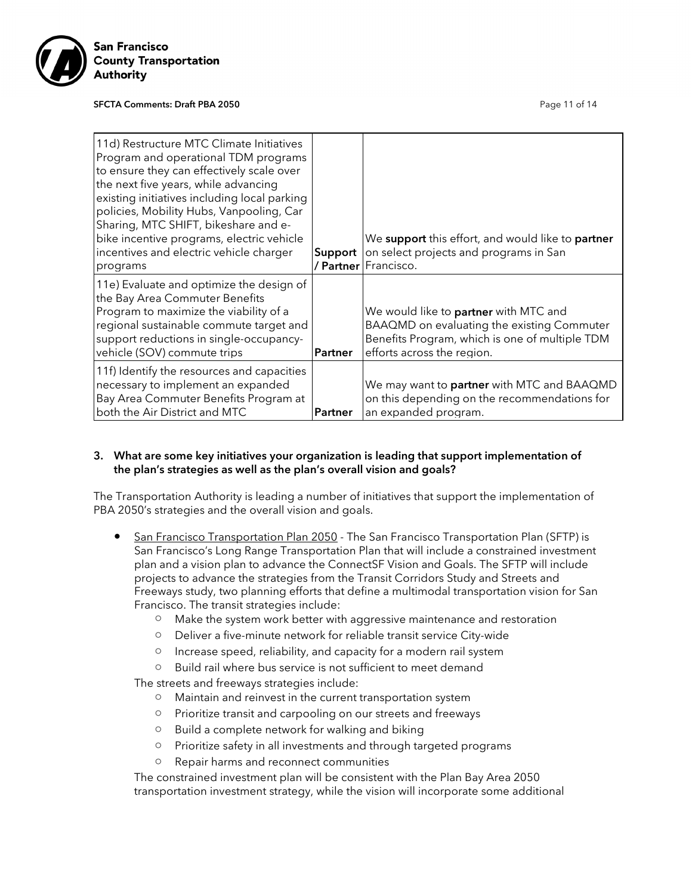

#### SFCTA Comments: Draft PBA 2050 **Page 11 of 14** Page 11 of 14

| 11d) Restructure MTC Climate Initiatives<br>Program and operational TDM programs<br>to ensure they can effectively scale over<br>the next five years, while advancing<br>existing initiatives including local parking<br>policies, Mobility Hubs, Vanpooling, Car<br>Sharing, MTC SHIFT, bikeshare and e-<br>bike incentive programs, electric vehicle<br>incentives and electric vehicle charger |                | We support this effort, and would like to partner<br><b>Support</b> on select projects and programs in San                                                          |
|---------------------------------------------------------------------------------------------------------------------------------------------------------------------------------------------------------------------------------------------------------------------------------------------------------------------------------------------------------------------------------------------------|----------------|---------------------------------------------------------------------------------------------------------------------------------------------------------------------|
| programs                                                                                                                                                                                                                                                                                                                                                                                          |                | <b>/ Partner</b>   Francisco.                                                                                                                                       |
| 11e) Evaluate and optimize the design of<br>the Bay Area Commuter Benefits<br>Program to maximize the viability of a<br>regional sustainable commute target and<br>support reductions in single-occupancy-<br>vehicle (SOV) commute trips                                                                                                                                                         | Partner        | We would like to partner with MTC and<br>BAAQMD on evaluating the existing Commuter<br>Benefits Program, which is one of multiple TDM<br>efforts across the region. |
| 11f) Identify the resources and capacities<br>necessary to implement an expanded<br>Bay Area Commuter Benefits Program at<br>both the Air District and MTC                                                                                                                                                                                                                                        | <b>Partner</b> | We may want to partner with MTC and BAAQMD<br>on this depending on the recommendations for<br>an expanded program.                                                  |

# 3. What are some key initiatives your organization is leading that support implementation of the plan's strategies as well as the plan's overall vision and goals?

The Transportation Authority is leading a number of initiatives that support the implementation of PBA 2050's strategies and the overall vision and goals.

- San Francisco Transportation Plan 2050 The San Francisco Transportation Plan (SFTP) is San Francisco's Long Range Transportation Plan that will include a constrained investment plan and a vision plan to advance the ConnectSF Vision and Goals. The SFTP will include projects to advance the strategies from the Transit Corridors Study and Streets and Freeways study, two planning efforts that define a multimodal transportation vision for San Francisco. The transit strategies include:
	- Make the system work better with aggressive maintenance and restoration
	- Deliver a five-minute network for reliable transit service City-wide
	- Increase speed, reliability, and capacity for a modern rail system
	- Build rail where bus service is not sufficient to meet demand

The streets and freeways strategies include:

- Maintain and reinvest in the current transportation system
- Prioritize transit and carpooling on our streets and freeways
- Build a complete network for walking and biking
- Prioritize safety in all investments and through targeted programs
- Repair harms and reconnect communities

The constrained investment plan will be consistent with the Plan Bay Area 2050 transportation investment strategy, while the vision will incorporate some additional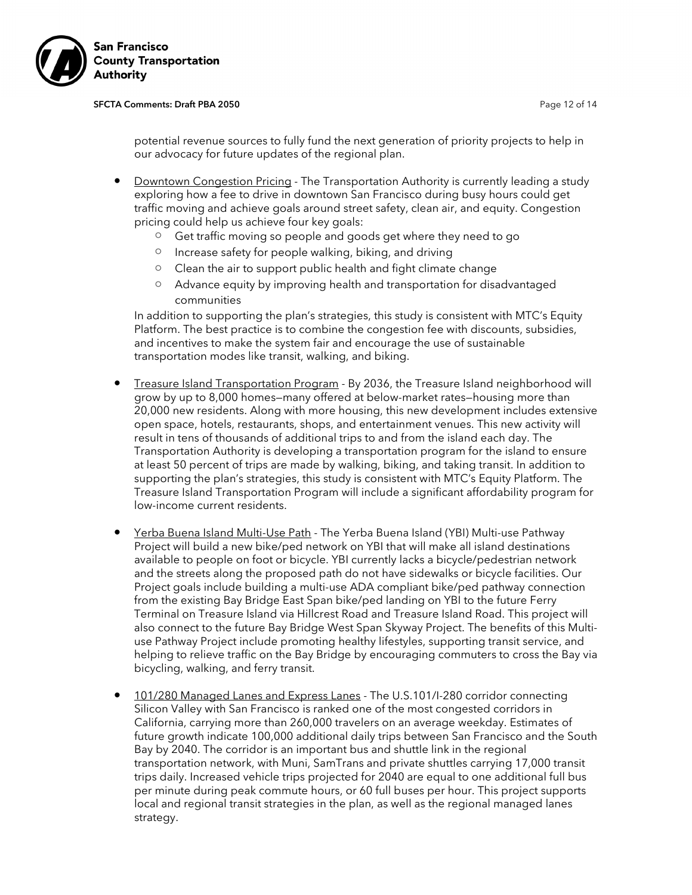

#### SFCTA Comments: Draft PBA 2050 **Page 12 of 14** Page 12 of 14

potential revenue sources to fully fund the next generation of priority projects to help in our advocacy for future updates of the regional plan.

- Downtown Congestion Pricing The Transportation Authority is currently leading a study exploring how a fee to drive in downtown San Francisco during busy hours could get traffic moving and achieve goals around street safety, clean air, and equity. Congestion pricing could help us achieve four key goals:
	- Get traffic moving so people and goods get where they need to go
	- Increase safety for people walking, biking, and driving
	- Clean the air to support public health and fight climate change
	- Advance equity by improving health and transportation for disadvantaged communities

In addition to supporting the plan's strategies, this study is consistent with MTC's Equity Platform. The best practice is to combine the congestion fee with discounts, subsidies, and incentives to make the system fair and encourage the use of sustainable transportation modes like transit, walking, and biking.

- Treasure Island Transportation Program By 2036, the Treasure Island neighborhood will grow by up to 8,000 homes—many offered at below-market rates—housing more than 20,000 new residents. Along with more housing, this new development includes extensive open space, hotels, restaurants, shops, and entertainment venues. This new activity will result in tens of thousands of additional trips to and from the island each day. The Transportation Authority is developing a transportation program for the island to ensure at least 50 percent of trips are made by walking, biking, and taking transit. In addition to supporting the plan's strategies, this study is consistent with MTC's Equity Platform. The Treasure Island Transportation Program will include a significant affordability program for low-income current residents.
- Yerba Buena Island Multi-Use Path The Yerba Buena Island (YBI) Multi-use Pathway Project will build a new bike/ped network on YBI that will make all island destinations available to people on foot or bicycle. YBI currently lacks a bicycle/pedestrian network and the streets along the proposed path do not have sidewalks or bicycle facilities. Our Project goals include building a multi-use ADA compliant bike/ped pathway connection from the existing Bay Bridge East Span bike/ped landing on YBI to the future Ferry Terminal on Treasure Island via Hillcrest Road and Treasure Island Road. This project will also connect to the future Bay Bridge West Span Skyway Project. The benefits of this Multiuse Pathway Project include promoting healthy lifestyles, supporting transit service, and helping to relieve traffic on the Bay Bridge by encouraging commuters to cross the Bay via bicycling, walking, and ferry transit.
- 101/280 Managed Lanes and Express Lanes The U.S.101/I-280 corridor connecting Silicon Valley with San Francisco is ranked one of the most congested corridors in California, carrying more than 260,000 travelers on an average weekday. Estimates of future growth indicate 100,000 additional daily trips between San Francisco and the South Bay by 2040. The corridor is an important bus and shuttle link in the regional transportation network, with Muni, SamTrans and private shuttles carrying 17,000 transit trips daily. Increased vehicle trips projected for 2040 are equal to one additional full bus per minute during peak commute hours, or 60 full buses per hour. This project supports local and regional transit strategies in the plan, as well as the regional managed lanes strategy.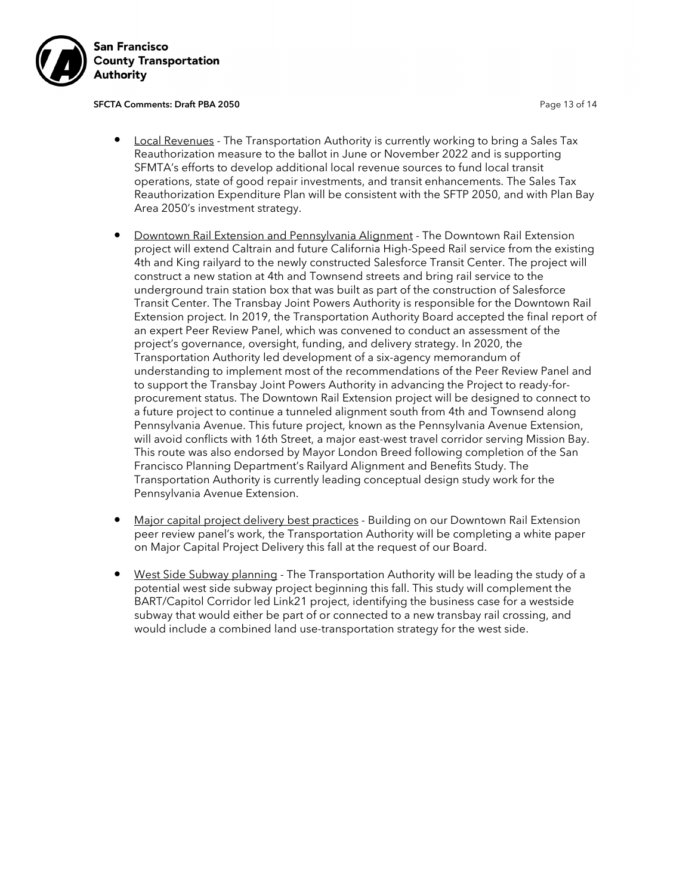

SFCTA Comments: Draft PBA 2050 **Page 13 of 14** Page 13 of 14

- **Local Revenues** The Transportation Authority is currently working to bring a Sales Tax Reauthorization measure to the ballot in June or November 2022 and is supporting SFMTA's efforts to develop additional local revenue sources to fund local transit operations, state of good repair investments, and transit enhancements. The Sales Tax Reauthorization Expenditure Plan will be consistent with the SFTP 2050, and with Plan Bay Area 2050's investment strategy.
- Downtown Rail Extension and Pennsylvania Alignment The Downtown Rail Extension project will extend Caltrain and future California High-Speed Rail service from the existing 4th and King railyard to the newly constructed Salesforce Transit Center. The project will construct a new station at 4th and Townsend streets and bring rail service to the underground train station box that was built as part of the construction of Salesforce Transit Center. The Transbay Joint Powers Authority is responsible for the Downtown Rail Extension project. In 2019, the Transportation Authority Board accepted the final report of an expert Peer Review Panel, which was convened to conduct an assessment of the project's governance, oversight, funding, and delivery strategy. In 2020, the Transportation Authority led development of a six-agency memorandum of understanding to implement most of the recommendations of the Peer Review Panel and to support the Transbay Joint Powers Authority in advancing the Project to ready-forprocurement status. The Downtown Rail Extension project will be designed to connect to a future project to continue a tunneled alignment south from 4th and Townsend along Pennsylvania Avenue. This future project, known as the Pennsylvania Avenue Extension, will avoid conflicts with 16th Street, a major east-west travel corridor serving Mission Bay. This route was also endorsed by Mayor London Breed following completion of the San Francisco Planning Department's Railyard Alignment and Benefits Study. The Transportation Authority is currently leading conceptual design study work for the Pennsylvania Avenue Extension.
- Major capital project delivery best practices Building on our Downtown Rail Extension peer review panel's work, the Transportation Authority will be completing a white paper on Major Capital Project Delivery this fall at the request of our Board.
- West Side Subway planning The Transportation Authority will be leading the study of a potential west side subway project beginning this fall. This study will complement the BART/Capitol Corridor led Link21 project, identifying the business case for a westside subway that would either be part of or connected to a new transbay rail crossing, and would include a combined land use-transportation strategy for the west side.